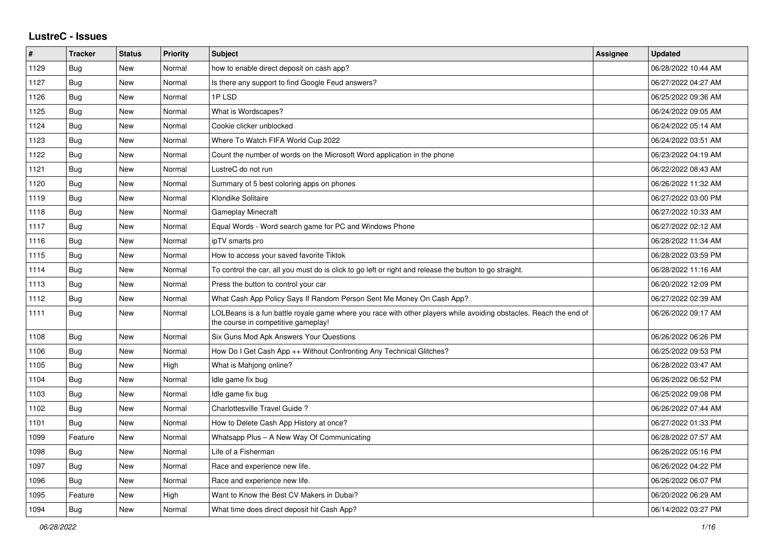## **LustreC - Issues**

| $\vert$ # | <b>Tracker</b> | <b>Status</b> | <b>Priority</b> | <b>Subject</b>                                                                                                                                           | <b>Assignee</b> | <b>Updated</b>      |
|-----------|----------------|---------------|-----------------|----------------------------------------------------------------------------------------------------------------------------------------------------------|-----------------|---------------------|
| 1129      | Bug            | New           | Normal          | how to enable direct deposit on cash app?                                                                                                                |                 | 06/28/2022 10:44 AM |
| 1127      | Bug            | <b>New</b>    | Normal          | Is there any support to find Google Feud answers?                                                                                                        |                 | 06/27/2022 04:27 AM |
| 1126      | <b>Bug</b>     | <b>New</b>    | Normal          | 1PLSD                                                                                                                                                    |                 | 06/25/2022 09:36 AM |
| 1125      | <b>Bug</b>     | <b>New</b>    | Normal          | What is Wordscapes?                                                                                                                                      |                 | 06/24/2022 09:05 AM |
| 1124      | Bug            | <b>New</b>    | Normal          | Cookie clicker unblocked                                                                                                                                 |                 | 06/24/2022 05:14 AM |
| 1123      | <b>Bug</b>     | <b>New</b>    | Normal          | Where To Watch FIFA World Cup 2022                                                                                                                       |                 | 06/24/2022 03:51 AM |
| 1122      | <b>Bug</b>     | <b>New</b>    | Normal          | Count the number of words on the Microsoft Word application in the phone                                                                                 |                 | 06/23/2022 04:19 AM |
| 1121      | <b>Bug</b>     | <b>New</b>    | Normal          | LustreC do not run                                                                                                                                       |                 | 06/22/2022 08:43 AM |
| 1120      | Bug            | <b>New</b>    | Normal          | Summary of 5 best coloring apps on phones                                                                                                                |                 | 06/26/2022 11:32 AM |
| 1119      | Bug            | New           | Normal          | Klondike Solitaire                                                                                                                                       |                 | 06/27/2022 03:00 PM |
| 1118      | Bug            | <b>New</b>    | Normal          | <b>Gameplay Minecraft</b>                                                                                                                                |                 | 06/27/2022 10:33 AM |
| 1117      | Bug            | <b>New</b>    | Normal          | Equal Words - Word search game for PC and Windows Phone                                                                                                  |                 | 06/27/2022 02:12 AM |
| 1116      | Bug            | <b>New</b>    | Normal          | ipTV smarts pro                                                                                                                                          |                 | 06/28/2022 11:34 AM |
| 1115      | <b>Bug</b>     | <b>New</b>    | Normal          | How to access your saved favorite Tiktok                                                                                                                 |                 | 06/28/2022 03:59 PM |
| 1114      | Bug            | <b>New</b>    | Normal          | To control the car, all you must do is click to go left or right and release the button to go straight.                                                  |                 | 06/28/2022 11:16 AM |
| 1113      | Bug            | <b>New</b>    | Normal          | Press the button to control your car                                                                                                                     |                 | 06/20/2022 12:09 PM |
| 1112      | <b>Bug</b>     | New           | Normal          | What Cash App Policy Says If Random Person Sent Me Money On Cash App?                                                                                    |                 | 06/27/2022 02:39 AM |
| 1111      | Bug            | <b>New</b>    | Normal          | LOLBeans is a fun battle royale game where you race with other players while avoiding obstacles. Reach the end of<br>the course in competitive gameplay! |                 | 06/26/2022 09:17 AM |
| 1108      | <b>Bug</b>     | <b>New</b>    | Normal          | Six Guns Mod Apk Answers Your Questions                                                                                                                  |                 | 06/26/2022 06:26 PM |
| 1106      | Bug            | <b>New</b>    | Normal          | How Do I Get Cash App ++ Without Confronting Any Technical Glitches?                                                                                     |                 | 06/25/2022 09:53 PM |
| 1105      | <b>Bug</b>     | <b>New</b>    | High            | What is Mahjong online?                                                                                                                                  |                 | 06/28/2022 03:47 AM |
| 1104      | <b>Bug</b>     | New           | Normal          | Idle game fix bug                                                                                                                                        |                 | 06/26/2022 06:52 PM |
| 1103      | Bug            | New           | Normal          | Idle game fix bug                                                                                                                                        |                 | 06/25/2022 09:08 PM |
| 1102      | Bug            | New           | Normal          | Charlottesville Travel Guide?                                                                                                                            |                 | 06/26/2022 07:44 AM |
| 1101      | <b>Bug</b>     | <b>New</b>    | Normal          | How to Delete Cash App History at once?                                                                                                                  |                 | 06/27/2022 01:33 PM |
| 1099      | Feature        | New           | Normal          | Whatsapp Plus - A New Way Of Communicating                                                                                                               |                 | 06/28/2022 07:57 AM |
| 1098      | <b>Bug</b>     | <b>New</b>    | Normal          | Life of a Fisherman                                                                                                                                      |                 | 06/26/2022 05:16 PM |
| 1097      | <b>Bug</b>     | <b>New</b>    | Normal          | Race and experience new life.                                                                                                                            |                 | 06/26/2022 04:22 PM |
| 1096      | <b>Bug</b>     | New           | Normal          | Race and experience new life.                                                                                                                            |                 | 06/26/2022 06:07 PM |
| 1095      | Feature        | <b>New</b>    | High            | Want to Know the Best CV Makers in Dubai?                                                                                                                |                 | 06/20/2022 06:29 AM |
| 1094      | <b>Bug</b>     | New           | Normal          | What time does direct deposit hit Cash App?                                                                                                              |                 | 06/14/2022 03:27 PM |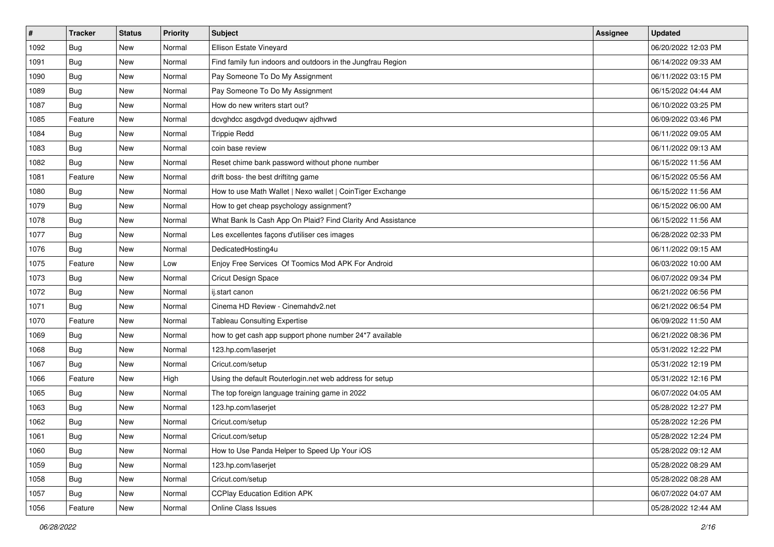| $\vert$ # | <b>Tracker</b> | <b>Status</b> | <b>Priority</b> | Subject                                                     | Assignee | <b>Updated</b>      |
|-----------|----------------|---------------|-----------------|-------------------------------------------------------------|----------|---------------------|
| 1092      | <b>Bug</b>     | New           | Normal          | Ellison Estate Vineyard                                     |          | 06/20/2022 12:03 PM |
| 1091      | <b>Bug</b>     | New           | Normal          | Find family fun indoors and outdoors in the Jungfrau Region |          | 06/14/2022 09:33 AM |
| 1090      | Bug            | New           | Normal          | Pay Someone To Do My Assignment                             |          | 06/11/2022 03:15 PM |
| 1089      | <b>Bug</b>     | New           | Normal          | Pay Someone To Do My Assignment                             |          | 06/15/2022 04:44 AM |
| 1087      | Bug            | New           | Normal          | How do new writers start out?                               |          | 06/10/2022 03:25 PM |
| 1085      | Feature        | New           | Normal          | dcvghdcc asgdvgd dveduqwv ajdhvwd                           |          | 06/09/2022 03:46 PM |
| 1084      | Bug            | New           | Normal          | <b>Trippie Redd</b>                                         |          | 06/11/2022 09:05 AM |
| 1083      | <b>Bug</b>     | New           | Normal          | coin base review                                            |          | 06/11/2022 09:13 AM |
| 1082      | <b>Bug</b>     | New           | Normal          | Reset chime bank password without phone number              |          | 06/15/2022 11:56 AM |
| 1081      | Feature        | New           | Normal          | drift boss- the best driftitng game                         |          | 06/15/2022 05:56 AM |
| 1080      | Bug            | New           | Normal          | How to use Math Wallet   Nexo wallet   CoinTiger Exchange   |          | 06/15/2022 11:56 AM |
| 1079      | Bug            | New           | Normal          | How to get cheap psychology assignment?                     |          | 06/15/2022 06:00 AM |
| 1078      | Bug            | New           | Normal          | What Bank Is Cash App On Plaid? Find Clarity And Assistance |          | 06/15/2022 11:56 AM |
| 1077      | <b>Bug</b>     | New           | Normal          | Les excellentes façons d'utiliser ces images                |          | 06/28/2022 02:33 PM |
| 1076      | Bug            | New           | Normal          | DedicatedHosting4u                                          |          | 06/11/2022 09:15 AM |
| 1075      | Feature        | New           | Low             | Enjoy Free Services Of Toomics Mod APK For Android          |          | 06/03/2022 10:00 AM |
| 1073      | <b>Bug</b>     | New           | Normal          | Cricut Design Space                                         |          | 06/07/2022 09:34 PM |
| 1072      | Bug            | New           | Normal          | ij.start canon                                              |          | 06/21/2022 06:56 PM |
| 1071      | <b>Bug</b>     | New           | Normal          | Cinema HD Review - Cinemahdv2.net                           |          | 06/21/2022 06:54 PM |
| 1070      | Feature        | New           | Normal          | <b>Tableau Consulting Expertise</b>                         |          | 06/09/2022 11:50 AM |
| 1069      | Bug            | New           | Normal          | how to get cash app support phone number 24*7 available     |          | 06/21/2022 08:36 PM |
| 1068      | <b>Bug</b>     | New           | Normal          | 123.hp.com/laserjet                                         |          | 05/31/2022 12:22 PM |
| 1067      | Bug            | New           | Normal          | Cricut.com/setup                                            |          | 05/31/2022 12:19 PM |
| 1066      | Feature        | New           | High            | Using the default Routerlogin.net web address for setup     |          | 05/31/2022 12:16 PM |
| 1065      | <b>Bug</b>     | New           | Normal          | The top foreign language training game in 2022              |          | 06/07/2022 04:05 AM |
| 1063      | Bug            | New           | Normal          | 123.hp.com/laserjet                                         |          | 05/28/2022 12:27 PM |
| 1062      | <b>Bug</b>     | New           | Normal          | Cricut.com/setup                                            |          | 05/28/2022 12:26 PM |
| 1061      | <b>Bug</b>     | New           | Normal          | Cricut.com/setup                                            |          | 05/28/2022 12:24 PM |
| 1060      | <b>Bug</b>     | New           | Normal          | How to Use Panda Helper to Speed Up Your iOS                |          | 05/28/2022 09:12 AM |
| 1059      | <b>Bug</b>     | New           | Normal          | 123.hp.com/laserjet                                         |          | 05/28/2022 08:29 AM |
| 1058      | Bug            | New           | Normal          | Cricut.com/setup                                            |          | 05/28/2022 08:28 AM |
| 1057      | Bug            | New           | Normal          | <b>CCPlay Education Edition APK</b>                         |          | 06/07/2022 04:07 AM |
| 1056      | Feature        | New           | Normal          | Online Class Issues                                         |          | 05/28/2022 12:44 AM |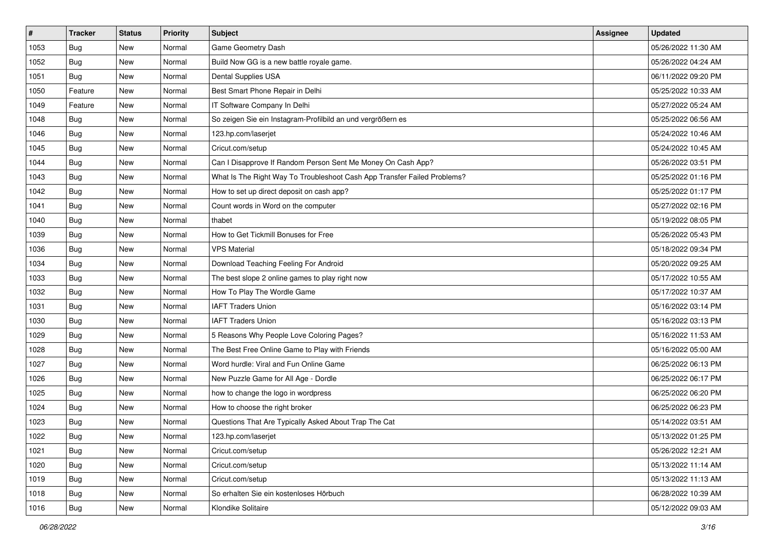| $\vert$ # | <b>Tracker</b> | <b>Status</b> | Priority | Subject                                                                  | Assignee | <b>Updated</b>      |
|-----------|----------------|---------------|----------|--------------------------------------------------------------------------|----------|---------------------|
| 1053      | <b>Bug</b>     | New           | Normal   | Game Geometry Dash                                                       |          | 05/26/2022 11:30 AM |
| 1052      | <b>Bug</b>     | New           | Normal   | Build Now GG is a new battle royale game.                                |          | 05/26/2022 04:24 AM |
| 1051      | Bug            | New           | Normal   | Dental Supplies USA                                                      |          | 06/11/2022 09:20 PM |
| 1050      | Feature        | New           | Normal   | Best Smart Phone Repair in Delhi                                         |          | 05/25/2022 10:33 AM |
| 1049      | Feature        | New           | Normal   | IT Software Company In Delhi                                             |          | 05/27/2022 05:24 AM |
| 1048      | Bug            | New           | Normal   | So zeigen Sie ein Instagram-Profilbild an und vergrößern es              |          | 05/25/2022 06:56 AM |
| 1046      | <b>Bug</b>     | New           | Normal   | 123.hp.com/laserjet                                                      |          | 05/24/2022 10:46 AM |
| 1045      | <b>Bug</b>     | New           | Normal   | Cricut.com/setup                                                         |          | 05/24/2022 10:45 AM |
| 1044      | <b>Bug</b>     | New           | Normal   | Can I Disapprove If Random Person Sent Me Money On Cash App?             |          | 05/26/2022 03:51 PM |
| 1043      | <b>Bug</b>     | New           | Normal   | What Is The Right Way To Troubleshoot Cash App Transfer Failed Problems? |          | 05/25/2022 01:16 PM |
| 1042      | <b>Bug</b>     | New           | Normal   | How to set up direct deposit on cash app?                                |          | 05/25/2022 01:17 PM |
| 1041      | <b>Bug</b>     | New           | Normal   | Count words in Word on the computer                                      |          | 05/27/2022 02:16 PM |
| 1040      | Bug            | New           | Normal   | thabet                                                                   |          | 05/19/2022 08:05 PM |
| 1039      | Bug            | New           | Normal   | How to Get Tickmill Bonuses for Free                                     |          | 05/26/2022 05:43 PM |
| 1036      | Bug            | New           | Normal   | <b>VPS Material</b>                                                      |          | 05/18/2022 09:34 PM |
| 1034      | <b>Bug</b>     | New           | Normal   | Download Teaching Feeling For Android                                    |          | 05/20/2022 09:25 AM |
| 1033      | <b>Bug</b>     | New           | Normal   | The best slope 2 online games to play right now                          |          | 05/17/2022 10:55 AM |
| 1032      | Bug            | New           | Normal   | How To Play The Wordle Game                                              |          | 05/17/2022 10:37 AM |
| 1031      | Bug            | New           | Normal   | <b>IAFT Traders Union</b>                                                |          | 05/16/2022 03:14 PM |
| 1030      | <b>Bug</b>     | New           | Normal   | <b>IAFT Traders Union</b>                                                |          | 05/16/2022 03:13 PM |
| 1029      | Bug            | New           | Normal   | 5 Reasons Why People Love Coloring Pages?                                |          | 05/16/2022 11:53 AM |
| 1028      | <b>Bug</b>     | New           | Normal   | The Best Free Online Game to Play with Friends                           |          | 05/16/2022 05:00 AM |
| 1027      | <b>Bug</b>     | New           | Normal   | Word hurdle: Viral and Fun Online Game                                   |          | 06/25/2022 06:13 PM |
| 1026      | Bug            | New           | Normal   | New Puzzle Game for All Age - Dordle                                     |          | 06/25/2022 06:17 PM |
| 1025      | <b>Bug</b>     | New           | Normal   | how to change the logo in wordpress                                      |          | 06/25/2022 06:20 PM |
| 1024      | Bug            | New           | Normal   | How to choose the right broker                                           |          | 06/25/2022 06:23 PM |
| 1023      | <b>Bug</b>     | New           | Normal   | Questions That Are Typically Asked About Trap The Cat                    |          | 05/14/2022 03:51 AM |
| 1022      | <b>Bug</b>     | New           | Normal   | 123.hp.com/laserjet                                                      |          | 05/13/2022 01:25 PM |
| 1021      | <b>Bug</b>     | New           | Normal   | Cricut.com/setup                                                         |          | 05/26/2022 12:21 AM |
| 1020      | <b>Bug</b>     | New           | Normal   | Cricut.com/setup                                                         |          | 05/13/2022 11:14 AM |
| 1019      | <b>Bug</b>     | New           | Normal   | Cricut.com/setup                                                         |          | 05/13/2022 11:13 AM |
| 1018      | Bug            | New           | Normal   | So erhalten Sie ein kostenloses Hörbuch                                  |          | 06/28/2022 10:39 AM |
| 1016      | <b>Bug</b>     | New           | Normal   | Klondike Solitaire                                                       |          | 05/12/2022 09:03 AM |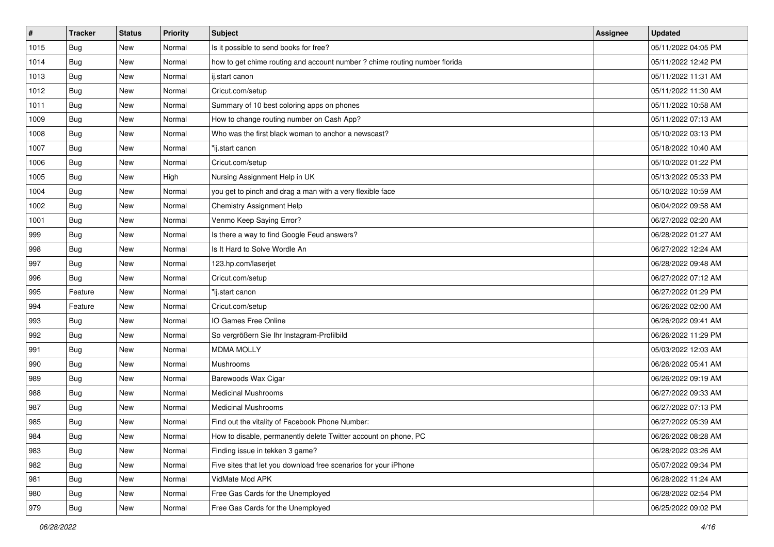| $\vert$ # | <b>Tracker</b> | <b>Status</b> | <b>Priority</b> | <b>Subject</b>                                                             | <b>Assignee</b> | <b>Updated</b>      |
|-----------|----------------|---------------|-----------------|----------------------------------------------------------------------------|-----------------|---------------------|
| 1015      | Bug            | New           | Normal          | Is it possible to send books for free?                                     |                 | 05/11/2022 04:05 PM |
| 1014      | <b>Bug</b>     | New           | Normal          | how to get chime routing and account number ? chime routing number florida |                 | 05/11/2022 12:42 PM |
| 1013      | Bug            | New           | Normal          | ij.start canon                                                             |                 | 05/11/2022 11:31 AM |
| 1012      | Bug            | New           | Normal          | Cricut.com/setup                                                           |                 | 05/11/2022 11:30 AM |
| 1011      | Bug            | New           | Normal          | Summary of 10 best coloring apps on phones                                 |                 | 05/11/2022 10:58 AM |
| 1009      | Bug            | New           | Normal          | How to change routing number on Cash App?                                  |                 | 05/11/2022 07:13 AM |
| 1008      | <b>Bug</b>     | New           | Normal          | Who was the first black woman to anchor a newscast?                        |                 | 05/10/2022 03:13 PM |
| 1007      | Bug            | New           | Normal          | "ij.start canon                                                            |                 | 05/18/2022 10:40 AM |
| 1006      | Bug            | New           | Normal          | Cricut.com/setup                                                           |                 | 05/10/2022 01:22 PM |
| 1005      | <b>Bug</b>     | New           | High            | Nursing Assignment Help in UK                                              |                 | 05/13/2022 05:33 PM |
| 1004      | <b>Bug</b>     | New           | Normal          | you get to pinch and drag a man with a very flexible face                  |                 | 05/10/2022 10:59 AM |
| 1002      | <b>Bug</b>     | New           | Normal          | Chemistry Assignment Help                                                  |                 | 06/04/2022 09:58 AM |
| 1001      | <b>Bug</b>     | New           | Normal          | Venmo Keep Saying Error?                                                   |                 | 06/27/2022 02:20 AM |
| 999       | Bug            | New           | Normal          | Is there a way to find Google Feud answers?                                |                 | 06/28/2022 01:27 AM |
| 998       | <b>Bug</b>     | New           | Normal          | Is It Hard to Solve Wordle An                                              |                 | 06/27/2022 12:24 AM |
| 997       | <b>Bug</b>     | New           | Normal          | 123.hp.com/laserjet                                                        |                 | 06/28/2022 09:48 AM |
| 996       | <b>Bug</b>     | New           | Normal          | Cricut.com/setup                                                           |                 | 06/27/2022 07:12 AM |
| 995       | Feature        | New           | Normal          | "ij.start canon                                                            |                 | 06/27/2022 01:29 PM |
| 994       | Feature        | New           | Normal          | Cricut.com/setup                                                           |                 | 06/26/2022 02:00 AM |
| 993       | Bug            | New           | Normal          | IO Games Free Online                                                       |                 | 06/26/2022 09:41 AM |
| 992       | Bug            | New           | Normal          | So vergrößern Sie Ihr Instagram-Profilbild                                 |                 | 06/26/2022 11:29 PM |
| 991       | Bug            | New           | Normal          | <b>MDMA MOLLY</b>                                                          |                 | 05/03/2022 12:03 AM |
| 990       | Bug            | New           | Normal          | Mushrooms                                                                  |                 | 06/26/2022 05:41 AM |
| 989       | <b>Bug</b>     | New           | Normal          | Barewoods Wax Cigar                                                        |                 | 06/26/2022 09:19 AM |
| 988       | <b>Bug</b>     | New           | Normal          | <b>Medicinal Mushrooms</b>                                                 |                 | 06/27/2022 09:33 AM |
| 987       | <b>Bug</b>     | New           | Normal          | <b>Medicinal Mushrooms</b>                                                 |                 | 06/27/2022 07:13 PM |
| 985       | <b>Bug</b>     | New           | Normal          | Find out the vitality of Facebook Phone Number:                            |                 | 06/27/2022 05:39 AM |
| 984       | Bug            | New           | Normal          | How to disable, permanently delete Twitter account on phone, PC            |                 | 06/26/2022 08:28 AM |
| 983       | <b>Bug</b>     | New           | Normal          | Finding issue in tekken 3 game?                                            |                 | 06/28/2022 03:26 AM |
| 982       | <b>Bug</b>     | New           | Normal          | Five sites that let you download free scenarios for your iPhone            |                 | 05/07/2022 09:34 PM |
| 981       | <b>Bug</b>     | New           | Normal          | VidMate Mod APK                                                            |                 | 06/28/2022 11:24 AM |
| 980       | <b>Bug</b>     | New           | Normal          | Free Gas Cards for the Unemployed                                          |                 | 06/28/2022 02:54 PM |
| 979       | <b>Bug</b>     | New           | Normal          | Free Gas Cards for the Unemployed                                          |                 | 06/25/2022 09:02 PM |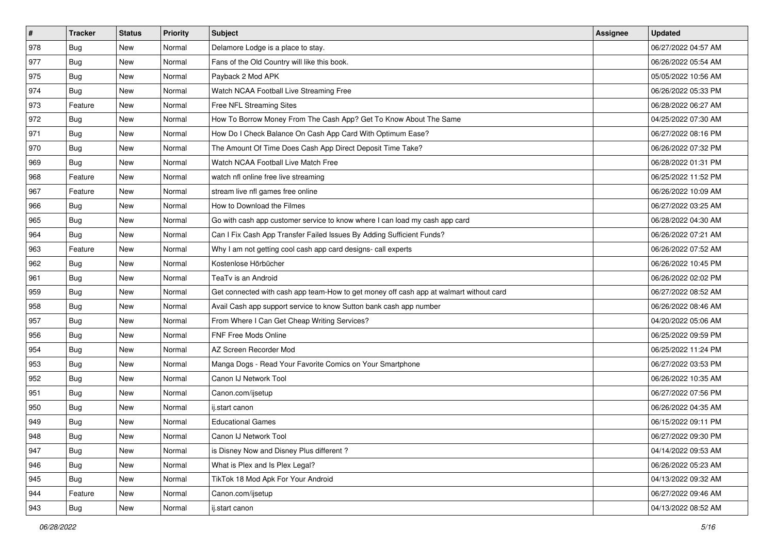| $\sharp$ | <b>Tracker</b> | <b>Status</b> | <b>Priority</b> | Subject                                                                                | Assignee | <b>Updated</b>      |
|----------|----------------|---------------|-----------------|----------------------------------------------------------------------------------------|----------|---------------------|
| 978      | <b>Bug</b>     | New           | Normal          | Delamore Lodge is a place to stay.                                                     |          | 06/27/2022 04:57 AM |
| 977      | <b>Bug</b>     | New           | Normal          | Fans of the Old Country will like this book.                                           |          | 06/26/2022 05:54 AM |
| 975      | Bug            | New           | Normal          | Payback 2 Mod APK                                                                      |          | 05/05/2022 10:56 AM |
| 974      | <b>Bug</b>     | New           | Normal          | Watch NCAA Football Live Streaming Free                                                |          | 06/26/2022 05:33 PM |
| 973      | Feature        | New           | Normal          | Free NFL Streaming Sites                                                               |          | 06/28/2022 06:27 AM |
| 972      | <b>Bug</b>     | New           | Normal          | How To Borrow Money From The Cash App? Get To Know About The Same                      |          | 04/25/2022 07:30 AM |
| 971      | Bug            | New           | Normal          | How Do I Check Balance On Cash App Card With Optimum Ease?                             |          | 06/27/2022 08:16 PM |
| 970      | <b>Bug</b>     | New           | Normal          | The Amount Of Time Does Cash App Direct Deposit Time Take?                             |          | 06/26/2022 07:32 PM |
| 969      | Bug            | New           | Normal          | Watch NCAA Football Live Match Free                                                    |          | 06/28/2022 01:31 PM |
| 968      | Feature        | New           | Normal          | watch nfl online free live streaming                                                   |          | 06/25/2022 11:52 PM |
| 967      | Feature        | New           | Normal          | stream live nfl games free online                                                      |          | 06/26/2022 10:09 AM |
| 966      | Bug            | New           | Normal          | How to Download the Filmes                                                             |          | 06/27/2022 03:25 AM |
| 965      | Bug            | New           | Normal          | Go with cash app customer service to know where I can load my cash app card            |          | 06/28/2022 04:30 AM |
| 964      | Bug            | New           | Normal          | Can I Fix Cash App Transfer Failed Issues By Adding Sufficient Funds?                  |          | 06/26/2022 07:21 AM |
| 963      | Feature        | New           | Normal          | Why I am not getting cool cash app card designs- call experts                          |          | 06/26/2022 07:52 AM |
| 962      | Bug            | New           | Normal          | Kostenlose Hörbücher                                                                   |          | 06/26/2022 10:45 PM |
| 961      | <b>Bug</b>     | New           | Normal          | TeaTv is an Android                                                                    |          | 06/26/2022 02:02 PM |
| 959      | Bug            | <b>New</b>    | Normal          | Get connected with cash app team-How to get money off cash app at walmart without card |          | 06/27/2022 08:52 AM |
| 958      | Bug            | New           | Normal          | Avail Cash app support service to know Sutton bank cash app number                     |          | 06/26/2022 08:46 AM |
| 957      | Bug            | New           | Normal          | From Where I Can Get Cheap Writing Services?                                           |          | 04/20/2022 05:06 AM |
| 956      | Bug            | New           | Normal          | FNF Free Mods Online                                                                   |          | 06/25/2022 09:59 PM |
| 954      | Bug            | <b>New</b>    | Normal          | AZ Screen Recorder Mod                                                                 |          | 06/25/2022 11:24 PM |
| 953      | Bug            | New           | Normal          | Manga Dogs - Read Your Favorite Comics on Your Smartphone                              |          | 06/27/2022 03:53 PM |
| 952      | <b>Bug</b>     | New           | Normal          | Canon IJ Network Tool                                                                  |          | 06/26/2022 10:35 AM |
| 951      | Bug            | New           | Normal          | Canon.com/ijsetup                                                                      |          | 06/27/2022 07:56 PM |
| 950      | Bug            | New           | Normal          | ij.start canon                                                                         |          | 06/26/2022 04:35 AM |
| 949      | <b>Bug</b>     | New           | Normal          | <b>Educational Games</b>                                                               |          | 06/15/2022 09:11 PM |
| 948      | I Bug          | New           | Normal          | Canon IJ Network Tool                                                                  |          | 06/27/2022 09:30 PM |
| 947      | <b>Bug</b>     | New           | Normal          | is Disney Now and Disney Plus different?                                               |          | 04/14/2022 09:53 AM |
| 946      | Bug            | New           | Normal          | What is Plex and Is Plex Legal?                                                        |          | 06/26/2022 05:23 AM |
| 945      | <b>Bug</b>     | New           | Normal          | TikTok 18 Mod Apk For Your Android                                                     |          | 04/13/2022 09:32 AM |
| 944      | Feature        | New           | Normal          | Canon.com/ijsetup                                                                      |          | 06/27/2022 09:46 AM |
| 943      | Bug            | New           | Normal          | ij.start canon                                                                         |          | 04/13/2022 08:52 AM |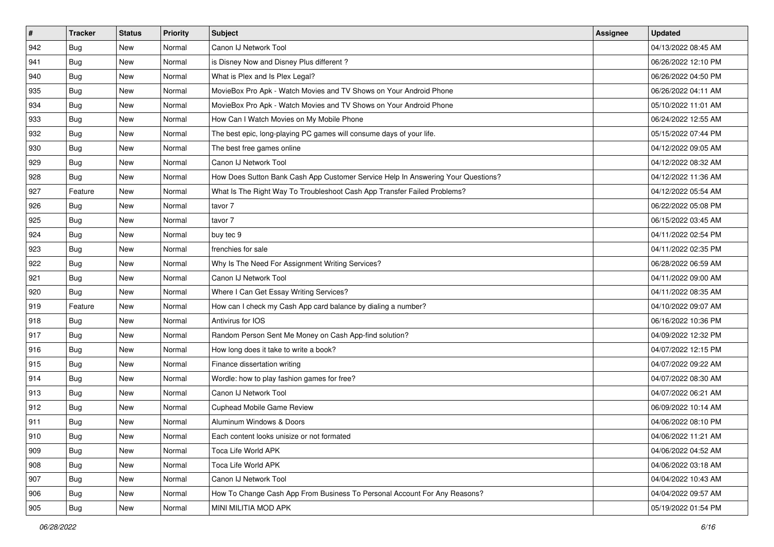| $\vert$ # | <b>Tracker</b> | <b>Status</b> | <b>Priority</b> | <b>Subject</b>                                                                   | Assignee | <b>Updated</b>      |
|-----------|----------------|---------------|-----------------|----------------------------------------------------------------------------------|----------|---------------------|
| 942       | <b>Bug</b>     | New           | Normal          | Canon IJ Network Tool                                                            |          | 04/13/2022 08:45 AM |
| 941       | <b>Bug</b>     | New           | Normal          | is Disney Now and Disney Plus different?                                         |          | 06/26/2022 12:10 PM |
| 940       | <b>Bug</b>     | New           | Normal          | What is Plex and Is Plex Legal?                                                  |          | 06/26/2022 04:50 PM |
| 935       | Bug            | New           | Normal          | MovieBox Pro Apk - Watch Movies and TV Shows on Your Android Phone               |          | 06/26/2022 04:11 AM |
| 934       | <b>Bug</b>     | New           | Normal          | MovieBox Pro Apk - Watch Movies and TV Shows on Your Android Phone               |          | 05/10/2022 11:01 AM |
| 933       | Bug            | New           | Normal          | How Can I Watch Movies on My Mobile Phone                                        |          | 06/24/2022 12:55 AM |
| 932       | <b>Bug</b>     | New           | Normal          | The best epic, long-playing PC games will consume days of your life.             |          | 05/15/2022 07:44 PM |
| 930       | Bug            | New           | Normal          | The best free games online                                                       |          | 04/12/2022 09:05 AM |
| 929       | <b>Bug</b>     | New           | Normal          | Canon IJ Network Tool                                                            |          | 04/12/2022 08:32 AM |
| 928       | Bug            | New           | Normal          | How Does Sutton Bank Cash App Customer Service Help In Answering Your Questions? |          | 04/12/2022 11:36 AM |
| 927       | Feature        | New           | Normal          | What Is The Right Way To Troubleshoot Cash App Transfer Failed Problems?         |          | 04/12/2022 05:54 AM |
| 926       | <b>Bug</b>     | New           | Normal          | tavor 7                                                                          |          | 06/22/2022 05:08 PM |
| 925       | <b>Bug</b>     | New           | Normal          | tavor 7                                                                          |          | 06/15/2022 03:45 AM |
| 924       | <b>Bug</b>     | New           | Normal          | buy tec 9                                                                        |          | 04/11/2022 02:54 PM |
| 923       | <b>Bug</b>     | New           | Normal          | frenchies for sale                                                               |          | 04/11/2022 02:35 PM |
| 922       | <b>Bug</b>     | New           | Normal          | Why Is The Need For Assignment Writing Services?                                 |          | 06/28/2022 06:59 AM |
| 921       | <b>Bug</b>     | New           | Normal          | Canon IJ Network Tool                                                            |          | 04/11/2022 09:00 AM |
| 920       | <b>Bug</b>     | New           | Normal          | Where I Can Get Essay Writing Services?                                          |          | 04/11/2022 08:35 AM |
| 919       | Feature        | New           | Normal          | How can I check my Cash App card balance by dialing a number?                    |          | 04/10/2022 09:07 AM |
| 918       | <b>Bug</b>     | New           | Normal          | Antivirus for IOS                                                                |          | 06/16/2022 10:36 PM |
| 917       | <b>Bug</b>     | New           | Normal          | Random Person Sent Me Money on Cash App-find solution?                           |          | 04/09/2022 12:32 PM |
| 916       | Bug            | New           | Normal          | How long does it take to write a book?                                           |          | 04/07/2022 12:15 PM |
| 915       | <b>Bug</b>     | New           | Normal          | Finance dissertation writing                                                     |          | 04/07/2022 09:22 AM |
| 914       | <b>Bug</b>     | New           | Normal          | Wordle: how to play fashion games for free?                                      |          | 04/07/2022 08:30 AM |
| 913       | Bug            | New           | Normal          | Canon IJ Network Tool                                                            |          | 04/07/2022 06:21 AM |
| 912       | <b>Bug</b>     | New           | Normal          | Cuphead Mobile Game Review                                                       |          | 06/09/2022 10:14 AM |
| 911       | <b>Bug</b>     | New           | Normal          | Aluminum Windows & Doors                                                         |          | 04/06/2022 08:10 PM |
| 910       | Bug            | New           | Normal          | Each content looks unisize or not formated                                       |          | 04/06/2022 11:21 AM |
| 909       | <b>Bug</b>     | New           | Normal          | Toca Life World APK                                                              |          | 04/06/2022 04:52 AM |
| 908       | <b>Bug</b>     | New           | Normal          | Toca Life World APK                                                              |          | 04/06/2022 03:18 AM |
| 907       | <b>Bug</b>     | New           | Normal          | Canon IJ Network Tool                                                            |          | 04/04/2022 10:43 AM |
| 906       | <b>Bug</b>     | New           | Normal          | How To Change Cash App From Business To Personal Account For Any Reasons?        |          | 04/04/2022 09:57 AM |
| 905       | Bug            | New           | Normal          | MINI MILITIA MOD APK                                                             |          | 05/19/2022 01:54 PM |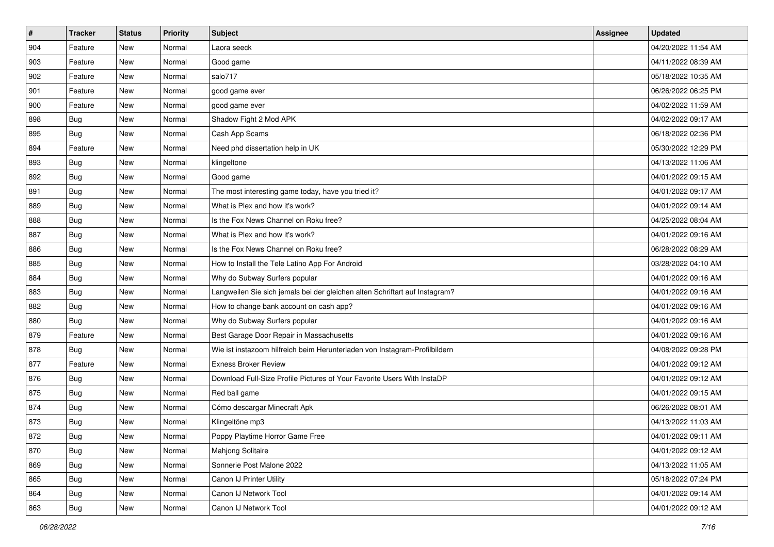| $\sharp$ | <b>Tracker</b> | <b>Status</b> | <b>Priority</b> | Subject                                                                     | Assignee | <b>Updated</b>      |
|----------|----------------|---------------|-----------------|-----------------------------------------------------------------------------|----------|---------------------|
| 904      | Feature        | New           | Normal          | Laora seeck                                                                 |          | 04/20/2022 11:54 AM |
| 903      | Feature        | New           | Normal          | Good game                                                                   |          | 04/11/2022 08:39 AM |
| 902      | Feature        | New           | Normal          | salo717                                                                     |          | 05/18/2022 10:35 AM |
| 901      | Feature        | New           | Normal          | good game ever                                                              |          | 06/26/2022 06:25 PM |
| 900      | Feature        | New           | Normal          | good game ever                                                              |          | 04/02/2022 11:59 AM |
| 898      | <b>Bug</b>     | New           | Normal          | Shadow Fight 2 Mod APK                                                      |          | 04/02/2022 09:17 AM |
| 895      | Bug            | New           | Normal          | Cash App Scams                                                              |          | 06/18/2022 02:36 PM |
| 894      | Feature        | New           | Normal          | Need phd dissertation help in UK                                            |          | 05/30/2022 12:29 PM |
| 893      | Bug            | New           | Normal          | klingeltone                                                                 |          | 04/13/2022 11:06 AM |
| 892      | Bug            | New           | Normal          | Good game                                                                   |          | 04/01/2022 09:15 AM |
| 891      | <b>Bug</b>     | New           | Normal          | The most interesting game today, have you tried it?                         |          | 04/01/2022 09:17 AM |
| 889      | <b>Bug</b>     | New           | Normal          | What is Plex and how it's work?                                             |          | 04/01/2022 09:14 AM |
| 888      | Bug            | New           | Normal          | Is the Fox News Channel on Roku free?                                       |          | 04/25/2022 08:04 AM |
| 887      | <b>Bug</b>     | New           | Normal          | What is Plex and how it's work?                                             |          | 04/01/2022 09:16 AM |
| 886      | Bug            | New           | Normal          | Is the Fox News Channel on Roku free?                                       |          | 06/28/2022 08:29 AM |
| 885      | Bug            | New           | Normal          | How to Install the Tele Latino App For Android                              |          | 03/28/2022 04:10 AM |
| 884      | <b>Bug</b>     | New           | Normal          | Why do Subway Surfers popular                                               |          | 04/01/2022 09:16 AM |
| 883      | Bug            | <b>New</b>    | Normal          | Langweilen Sie sich jemals bei der gleichen alten Schriftart auf Instagram? |          | 04/01/2022 09:16 AM |
| 882      | <b>Bug</b>     | New           | Normal          | How to change bank account on cash app?                                     |          | 04/01/2022 09:16 AM |
| 880      | <b>Bug</b>     | New           | Normal          | Why do Subway Surfers popular                                               |          | 04/01/2022 09:16 AM |
| 879      | Feature        | New           | Normal          | Best Garage Door Repair in Massachusetts                                    |          | 04/01/2022 09:16 AM |
| 878      | Bug            | <b>New</b>    | Normal          | Wie ist instazoom hilfreich beim Herunterladen von Instagram-Profilbildern  |          | 04/08/2022 09:28 PM |
| 877      | Feature        | New           | Normal          | <b>Exness Broker Review</b>                                                 |          | 04/01/2022 09:12 AM |
| 876      | <b>Bug</b>     | New           | Normal          | Download Full-Size Profile Pictures of Your Favorite Users With InstaDP     |          | 04/01/2022 09:12 AM |
| 875      | Bug            | New           | Normal          | Red ball game                                                               |          | 04/01/2022 09:15 AM |
| 874      | Bug            | New           | Normal          | Cómo descargar Minecraft Apk                                                |          | 06/26/2022 08:01 AM |
| 873      | <b>Bug</b>     | New           | Normal          | Klingeltöne mp3                                                             |          | 04/13/2022 11:03 AM |
| 872      | Bug            | New           | Normal          | Poppy Playtime Horror Game Free                                             |          | 04/01/2022 09:11 AM |
| 870      | <b>Bug</b>     | New           | Normal          | <b>Mahjong Solitaire</b>                                                    |          | 04/01/2022 09:12 AM |
| 869      | <b>Bug</b>     | New           | Normal          | Sonnerie Post Malone 2022                                                   |          | 04/13/2022 11:05 AM |
| 865      | <b>Bug</b>     | New           | Normal          | Canon IJ Printer Utility                                                    |          | 05/18/2022 07:24 PM |
| 864      | <b>Bug</b>     | New           | Normal          | Canon IJ Network Tool                                                       |          | 04/01/2022 09:14 AM |
| 863      | <b>Bug</b>     | New           | Normal          | Canon IJ Network Tool                                                       |          | 04/01/2022 09:12 AM |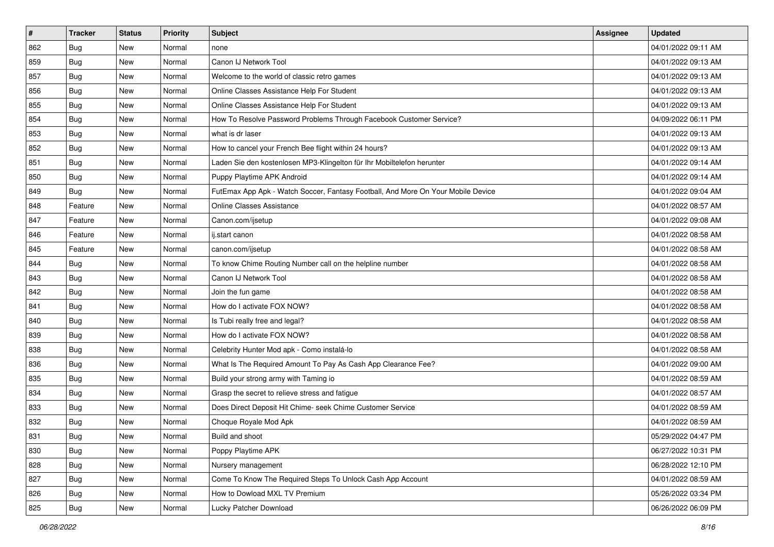| #   | <b>Tracker</b> | <b>Status</b> | <b>Priority</b> | Subject                                                                          | Assignee | <b>Updated</b>      |
|-----|----------------|---------------|-----------------|----------------------------------------------------------------------------------|----------|---------------------|
| 862 | <b>Bug</b>     | New           | Normal          | none                                                                             |          | 04/01/2022 09:11 AM |
| 859 | Bug            | New           | Normal          | Canon IJ Network Tool                                                            |          | 04/01/2022 09:13 AM |
| 857 | <b>Bug</b>     | New           | Normal          | Welcome to the world of classic retro games                                      |          | 04/01/2022 09:13 AM |
| 856 | <b>Bug</b>     | New           | Normal          | Online Classes Assistance Help For Student                                       |          | 04/01/2022 09:13 AM |
| 855 | Bug            | New           | Normal          | Online Classes Assistance Help For Student                                       |          | 04/01/2022 09:13 AM |
| 854 | Bug            | New           | Normal          | How To Resolve Password Problems Through Facebook Customer Service?              |          | 04/09/2022 06:11 PM |
| 853 | <b>Bug</b>     | New           | Normal          | what is dr laser                                                                 |          | 04/01/2022 09:13 AM |
| 852 | Bug            | New           | Normal          | How to cancel your French Bee flight within 24 hours?                            |          | 04/01/2022 09:13 AM |
| 851 | Bug            | New           | Normal          | Laden Sie den kostenlosen MP3-Klingelton für Ihr Mobiltelefon herunter           |          | 04/01/2022 09:14 AM |
| 850 | <b>Bug</b>     | New           | Normal          | Puppy Playtime APK Android                                                       |          | 04/01/2022 09:14 AM |
| 849 | Bug            | New           | Normal          | FutEmax App Apk - Watch Soccer, Fantasy Football, And More On Your Mobile Device |          | 04/01/2022 09:04 AM |
| 848 | Feature        | New           | Normal          | Online Classes Assistance                                                        |          | 04/01/2022 08:57 AM |
| 847 | Feature        | New           | Normal          | Canon.com/ijsetup                                                                |          | 04/01/2022 09:08 AM |
| 846 | Feature        | New           | Normal          | ij.start canon                                                                   |          | 04/01/2022 08:58 AM |
| 845 | Feature        | New           | Normal          | canon.com/ijsetup                                                                |          | 04/01/2022 08:58 AM |
| 844 | <b>Bug</b>     | New           | Normal          | To know Chime Routing Number call on the helpline number                         |          | 04/01/2022 08:58 AM |
| 843 | <b>Bug</b>     | New           | Normal          | Canon IJ Network Tool                                                            |          | 04/01/2022 08:58 AM |
| 842 | Bug            | New           | Normal          | Join the fun game                                                                |          | 04/01/2022 08:58 AM |
| 841 | <b>Bug</b>     | New           | Normal          | How do I activate FOX NOW?                                                       |          | 04/01/2022 08:58 AM |
| 840 | <b>Bug</b>     | New           | Normal          | Is Tubi really free and legal?                                                   |          | 04/01/2022 08:58 AM |
| 839 | Bug            | New           | Normal          | How do I activate FOX NOW?                                                       |          | 04/01/2022 08:58 AM |
| 838 | Bug            | New           | Normal          | Celebrity Hunter Mod apk - Como instalá-lo                                       |          | 04/01/2022 08:58 AM |
| 836 | Bug            | New           | Normal          | What Is The Required Amount To Pay As Cash App Clearance Fee?                    |          | 04/01/2022 09:00 AM |
| 835 | <b>Bug</b>     | New           | Normal          | Build your strong army with Taming io                                            |          | 04/01/2022 08:59 AM |
| 834 | <b>Bug</b>     | New           | Normal          | Grasp the secret to relieve stress and fatigue                                   |          | 04/01/2022 08:57 AM |
| 833 | <b>Bug</b>     | New           | Normal          | Does Direct Deposit Hit Chime- seek Chime Customer Service                       |          | 04/01/2022 08:59 AM |
| 832 | <b>Bug</b>     | New           | Normal          | Choque Royale Mod Apk                                                            |          | 04/01/2022 08:59 AM |
| 831 | <b>Bug</b>     | New           | Normal          | Build and shoot                                                                  |          | 05/29/2022 04:47 PM |
| 830 | <b>Bug</b>     | New           | Normal          | Poppy Playtime APK                                                               |          | 06/27/2022 10:31 PM |
| 828 | <b>Bug</b>     | New           | Normal          | Nursery management                                                               |          | 06/28/2022 12:10 PM |
| 827 | Bug            | New           | Normal          | Come To Know The Required Steps To Unlock Cash App Account                       |          | 04/01/2022 08:59 AM |
| 826 | <b>Bug</b>     | New           | Normal          | How to Dowload MXL TV Premium                                                    |          | 05/26/2022 03:34 PM |
| 825 | <b>Bug</b>     | New           | Normal          | Lucky Patcher Download                                                           |          | 06/26/2022 06:09 PM |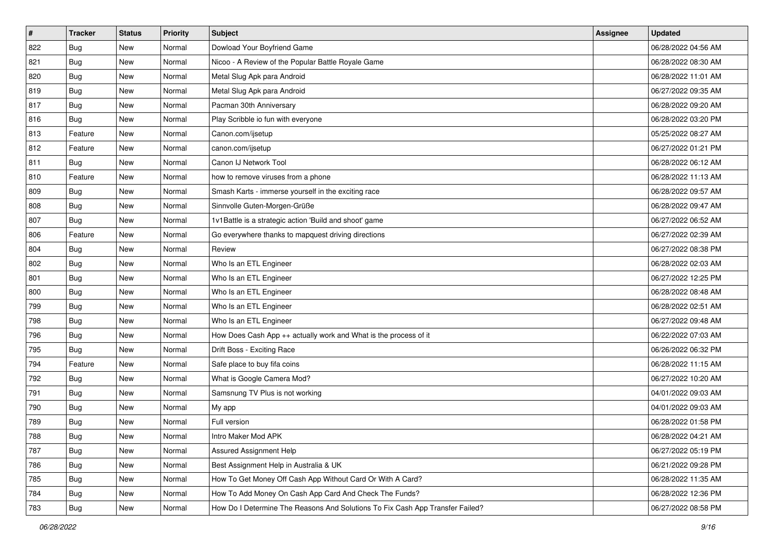| $\sharp$ | <b>Tracker</b> | <b>Status</b> | <b>Priority</b> | Subject                                                                       | Assignee | <b>Updated</b>      |
|----------|----------------|---------------|-----------------|-------------------------------------------------------------------------------|----------|---------------------|
| 822      | <b>Bug</b>     | New           | Normal          | Dowload Your Boyfriend Game                                                   |          | 06/28/2022 04:56 AM |
| 821      | Bug            | New           | Normal          | Nicoo - A Review of the Popular Battle Royale Game                            |          | 06/28/2022 08:30 AM |
| 820      | Bug            | New           | Normal          | Metal Slug Apk para Android                                                   |          | 06/28/2022 11:01 AM |
| 819      | <b>Bug</b>     | New           | Normal          | Metal Slug Apk para Android                                                   |          | 06/27/2022 09:35 AM |
| 817      | Bug            | New           | Normal          | Pacman 30th Anniversary                                                       |          | 06/28/2022 09:20 AM |
| 816      | Bug            | New           | Normal          | Play Scribble io fun with everyone                                            |          | 06/28/2022 03:20 PM |
| 813      | Feature        | New           | Normal          | Canon.com/ijsetup                                                             |          | 05/25/2022 08:27 AM |
| 812      | Feature        | New           | Normal          | canon.com/ijsetup                                                             |          | 06/27/2022 01:21 PM |
| 811      | Bug            | New           | Normal          | Canon IJ Network Tool                                                         |          | 06/28/2022 06:12 AM |
| 810      | Feature        | New           | Normal          | how to remove viruses from a phone                                            |          | 06/28/2022 11:13 AM |
| 809      | Bug            | New           | Normal          | Smash Karts - immerse yourself in the exciting race                           |          | 06/28/2022 09:57 AM |
| 808      | <b>Bug</b>     | New           | Normal          | Sinnvolle Guten-Morgen-Grüße                                                  |          | 06/28/2022 09:47 AM |
| 807      | Bug            | New           | Normal          | 1v1Battle is a strategic action 'Build and shoot' game                        |          | 06/27/2022 06:52 AM |
| 806      | Feature        | New           | Normal          | Go everywhere thanks to mapquest driving directions                           |          | 06/27/2022 02:39 AM |
| 804      | Bug            | New           | Normal          | Review                                                                        |          | 06/27/2022 08:38 PM |
| 802      | Bug            | New           | Normal          | Who Is an ETL Engineer                                                        |          | 06/28/2022 02:03 AM |
| 801      | <b>Bug</b>     | New           | Normal          | Who Is an ETL Engineer                                                        |          | 06/27/2022 12:25 PM |
| 800      | Bug            | New           | Normal          | Who Is an ETL Engineer                                                        |          | 06/28/2022 08:48 AM |
| 799      | <b>Bug</b>     | New           | Normal          | Who Is an ETL Engineer                                                        |          | 06/28/2022 02:51 AM |
| 798      | Bug            | New           | Normal          | Who Is an ETL Engineer                                                        |          | 06/27/2022 09:48 AM |
| 796      | <b>Bug</b>     | New           | Normal          | How Does Cash App ++ actually work and What is the process of it              |          | 06/22/2022 07:03 AM |
| 795      | Bug            | <b>New</b>    | Normal          | Drift Boss - Exciting Race                                                    |          | 06/26/2022 06:32 PM |
| 794      | Feature        | New           | Normal          | Safe place to buy fifa coins                                                  |          | 06/28/2022 11:15 AM |
| 792      | <b>Bug</b>     | New           | Normal          | What is Google Camera Mod?                                                    |          | 06/27/2022 10:20 AM |
| 791      | Bug            | New           | Normal          | Samsnung TV Plus is not working                                               |          | 04/01/2022 09:03 AM |
| 790      | Bug            | New           | Normal          | My app                                                                        |          | 04/01/2022 09:03 AM |
| 789      | <b>Bug</b>     | New           | Normal          | Full version                                                                  |          | 06/28/2022 01:58 PM |
| 788      | Bug            | New           | Normal          | Intro Maker Mod APK                                                           |          | 06/28/2022 04:21 AM |
| 787      | <b>Bug</b>     | New           | Normal          | <b>Assured Assignment Help</b>                                                |          | 06/27/2022 05:19 PM |
| 786      | <b>Bug</b>     | New           | Normal          | Best Assignment Help in Australia & UK                                        |          | 06/21/2022 09:28 PM |
| 785      | <b>Bug</b>     | New           | Normal          | How To Get Money Off Cash App Without Card Or With A Card?                    |          | 06/28/2022 11:35 AM |
| 784      | Bug            | New           | Normal          | How To Add Money On Cash App Card And Check The Funds?                        |          | 06/28/2022 12:36 PM |
| 783      | <b>Bug</b>     | New           | Normal          | How Do I Determine The Reasons And Solutions To Fix Cash App Transfer Failed? |          | 06/27/2022 08:58 PM |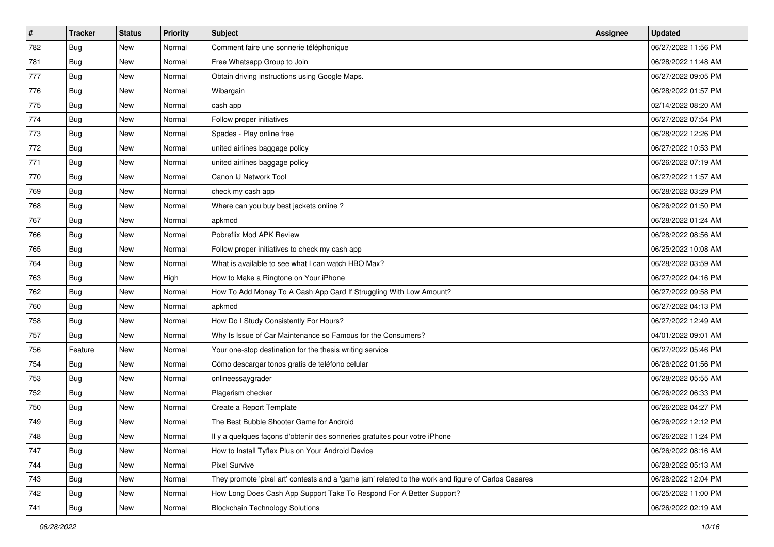| $\vert$ # | <b>Tracker</b> | <b>Status</b> | <b>Priority</b> | Subject                                                                                             | Assignee | <b>Updated</b>      |
|-----------|----------------|---------------|-----------------|-----------------------------------------------------------------------------------------------------|----------|---------------------|
| 782       | <b>Bug</b>     | New           | Normal          | Comment faire une sonnerie téléphonique                                                             |          | 06/27/2022 11:56 PM |
| 781       | <b>Bug</b>     | New           | Normal          | Free Whatsapp Group to Join                                                                         |          | 06/28/2022 11:48 AM |
| 777       | <b>Bug</b>     | New           | Normal          | Obtain driving instructions using Google Maps.                                                      |          | 06/27/2022 09:05 PM |
| 776       | <b>Bug</b>     | New           | Normal          | Wibargain                                                                                           |          | 06/28/2022 01:57 PM |
| 775       | Bug            | New           | Normal          | cash app                                                                                            |          | 02/14/2022 08:20 AM |
| 774       | Bug            | New           | Normal          | Follow proper initiatives                                                                           |          | 06/27/2022 07:54 PM |
| 773       | <b>Bug</b>     | New           | Normal          | Spades - Play online free                                                                           |          | 06/28/2022 12:26 PM |
| 772       | <b>Bug</b>     | New           | Normal          | united airlines baggage policy                                                                      |          | 06/27/2022 10:53 PM |
| 771       | <b>Bug</b>     | New           | Normal          | united airlines baggage policy                                                                      |          | 06/26/2022 07:19 AM |
| 770       | Bug            | New           | Normal          | Canon IJ Network Tool                                                                               |          | 06/27/2022 11:57 AM |
| 769       | <b>Bug</b>     | New           | Normal          | check my cash app                                                                                   |          | 06/28/2022 03:29 PM |
| 768       | Bug            | New           | Normal          | Where can you buy best jackets online?                                                              |          | 06/26/2022 01:50 PM |
| 767       | <b>Bug</b>     | New           | Normal          | apkmod                                                                                              |          | 06/28/2022 01:24 AM |
| 766       | <b>Bug</b>     | New           | Normal          | Pobreflix Mod APK Review                                                                            |          | 06/28/2022 08:56 AM |
| 765       | <b>Bug</b>     | New           | Normal          | Follow proper initiatives to check my cash app                                                      |          | 06/25/2022 10:08 AM |
| 764       | <b>Bug</b>     | New           | Normal          | What is available to see what I can watch HBO Max?                                                  |          | 06/28/2022 03:59 AM |
| 763       | <b>Bug</b>     | New           | High            | How to Make a Ringtone on Your iPhone                                                               |          | 06/27/2022 04:16 PM |
| 762       | Bug            | New           | Normal          | How To Add Money To A Cash App Card If Struggling With Low Amount?                                  |          | 06/27/2022 09:58 PM |
| 760       | Bug            | New           | Normal          | apkmod                                                                                              |          | 06/27/2022 04:13 PM |
| 758       | <b>Bug</b>     | New           | Normal          | How Do I Study Consistently For Hours?                                                              |          | 06/27/2022 12:49 AM |
| 757       | Bug            | New           | Normal          | Why Is Issue of Car Maintenance so Famous for the Consumers?                                        |          | 04/01/2022 09:01 AM |
| 756       | Feature        | New           | Normal          | Your one-stop destination for the thesis writing service                                            |          | 06/27/2022 05:46 PM |
| 754       | Bug            | New           | Normal          | Cómo descargar tonos gratis de teléfono celular                                                     |          | 06/26/2022 01:56 PM |
| 753       | <b>Bug</b>     | New           | Normal          | onlineessaygrader                                                                                   |          | 06/28/2022 05:55 AM |
| 752       | Bug            | New           | Normal          | Plagerism checker                                                                                   |          | 06/26/2022 06:33 PM |
| 750       | <b>Bug</b>     | New           | Normal          | Create a Report Template                                                                            |          | 06/26/2022 04:27 PM |
| 749       | <b>Bug</b>     | New           | Normal          | The Best Bubble Shooter Game for Android                                                            |          | 06/26/2022 12:12 PM |
| 748       | <b>Bug</b>     | New           | Normal          | Il y a quelques façons d'obtenir des sonneries gratuites pour votre iPhone                          |          | 06/26/2022 11:24 PM |
| 747       | Bug            | New           | Normal          | How to Install Tyflex Plus on Your Android Device                                                   |          | 06/26/2022 08:16 AM |
| 744       | Bug            | New           | Normal          | <b>Pixel Survive</b>                                                                                |          | 06/28/2022 05:13 AM |
| 743       | <b>Bug</b>     | New           | Normal          | They promote 'pixel art' contests and a 'game jam' related to the work and figure of Carlos Casares |          | 06/28/2022 12:04 PM |
| 742       | <b>Bug</b>     | New           | Normal          | How Long Does Cash App Support Take To Respond For A Better Support?                                |          | 06/25/2022 11:00 PM |
| 741       | <b>Bug</b>     | New           | Normal          | <b>Blockchain Technology Solutions</b>                                                              |          | 06/26/2022 02:19 AM |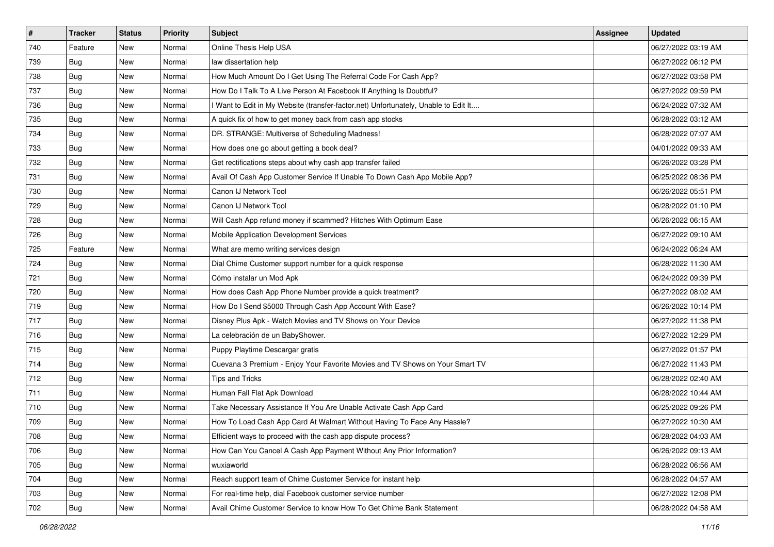| #   | <b>Tracker</b> | <b>Status</b> | <b>Priority</b> | Subject                                                                             | Assignee | <b>Updated</b>      |
|-----|----------------|---------------|-----------------|-------------------------------------------------------------------------------------|----------|---------------------|
| 740 | Feature        | New           | Normal          | Online Thesis Help USA                                                              |          | 06/27/2022 03:19 AM |
| 739 | Bug            | New           | Normal          | law dissertation help                                                               |          | 06/27/2022 06:12 PM |
| 738 | <b>Bug</b>     | New           | Normal          | How Much Amount Do I Get Using The Referral Code For Cash App?                      |          | 06/27/2022 03:58 PM |
| 737 | <b>Bug</b>     | New           | Normal          | How Do I Talk To A Live Person At Facebook If Anything Is Doubtful?                 |          | 06/27/2022 09:59 PM |
| 736 | Bug            | New           | Normal          | I Want to Edit in My Website (transfer-factor.net) Unfortunately, Unable to Edit It |          | 06/24/2022 07:32 AM |
| 735 | <b>Bug</b>     | New           | Normal          | A quick fix of how to get money back from cash app stocks                           |          | 06/28/2022 03:12 AM |
| 734 | <b>Bug</b>     | New           | Normal          | DR. STRANGE: Multiverse of Scheduling Madness!                                      |          | 06/28/2022 07:07 AM |
| 733 | Bug            | New           | Normal          | How does one go about getting a book deal?                                          |          | 04/01/2022 09:33 AM |
| 732 | Bug            | New           | Normal          | Get rectifications steps about why cash app transfer failed                         |          | 06/26/2022 03:28 PM |
| 731 | <b>Bug</b>     | New           | Normal          | Avail Of Cash App Customer Service If Unable To Down Cash App Mobile App?           |          | 06/25/2022 08:36 PM |
| 730 | <b>Bug</b>     | New           | Normal          | Canon IJ Network Tool                                                               |          | 06/26/2022 05:51 PM |
| 729 | <b>Bug</b>     | New           | Normal          | Canon IJ Network Tool                                                               |          | 06/28/2022 01:10 PM |
| 728 | Bug            | New           | Normal          | Will Cash App refund money if scammed? Hitches With Optimum Ease                    |          | 06/26/2022 06:15 AM |
| 726 | <b>Bug</b>     | New           | Normal          | Mobile Application Development Services                                             |          | 06/27/2022 09:10 AM |
| 725 | Feature        | New           | Normal          | What are memo writing services design                                               |          | 06/24/2022 06:24 AM |
| 724 | Bug            | New           | Normal          | Dial Chime Customer support number for a quick response                             |          | 06/28/2022 11:30 AM |
| 721 | <b>Bug</b>     | New           | Normal          | Cómo instalar un Mod Apk                                                            |          | 06/24/2022 09:39 PM |
| 720 | <b>Bug</b>     | New           | Normal          | How does Cash App Phone Number provide a quick treatment?                           |          | 06/27/2022 08:02 AM |
| 719 | <b>Bug</b>     | New           | Normal          | How Do I Send \$5000 Through Cash App Account With Ease?                            |          | 06/26/2022 10:14 PM |
| 717 | <b>Bug</b>     | New           | Normal          | Disney Plus Apk - Watch Movies and TV Shows on Your Device                          |          | 06/27/2022 11:38 PM |
| 716 | <b>Bug</b>     | New           | Normal          | La celebración de un BabyShower.                                                    |          | 06/27/2022 12:29 PM |
| 715 | <b>Bug</b>     | New           | Normal          | Puppy Playtime Descargar gratis                                                     |          | 06/27/2022 01:57 PM |
| 714 | Bug            | New           | Normal          | Cuevana 3 Premium - Enjoy Your Favorite Movies and TV Shows on Your Smart TV        |          | 06/27/2022 11:43 PM |
| 712 | <b>Bug</b>     | New           | Normal          | <b>Tips and Tricks</b>                                                              |          | 06/28/2022 02:40 AM |
| 711 | <b>Bug</b>     | New           | Normal          | Human Fall Flat Apk Download                                                        |          | 06/28/2022 10:44 AM |
| 710 | <b>Bug</b>     | New           | Normal          | Take Necessary Assistance If You Are Unable Activate Cash App Card                  |          | 06/25/2022 09:26 PM |
| 709 | <b>Bug</b>     | New           | Normal          | How To Load Cash App Card At Walmart Without Having To Face Any Hassle?             |          | 06/27/2022 10:30 AM |
| 708 | Bug            | New           | Normal          | Efficient ways to proceed with the cash app dispute process?                        |          | 06/28/2022 04:03 AM |
| 706 | Bug            | New           | Normal          | How Can You Cancel A Cash App Payment Without Any Prior Information?                |          | 06/26/2022 09:13 AM |
| 705 | <b>Bug</b>     | New           | Normal          | wuxiaworld                                                                          |          | 06/28/2022 06:56 AM |
| 704 | <b>Bug</b>     | New           | Normal          | Reach support team of Chime Customer Service for instant help                       |          | 06/28/2022 04:57 AM |
| 703 | <b>Bug</b>     | New           | Normal          | For real-time help, dial Facebook customer service number                           |          | 06/27/2022 12:08 PM |
| 702 | <b>Bug</b>     | New           | Normal          | Avail Chime Customer Service to know How To Get Chime Bank Statement                |          | 06/28/2022 04:58 AM |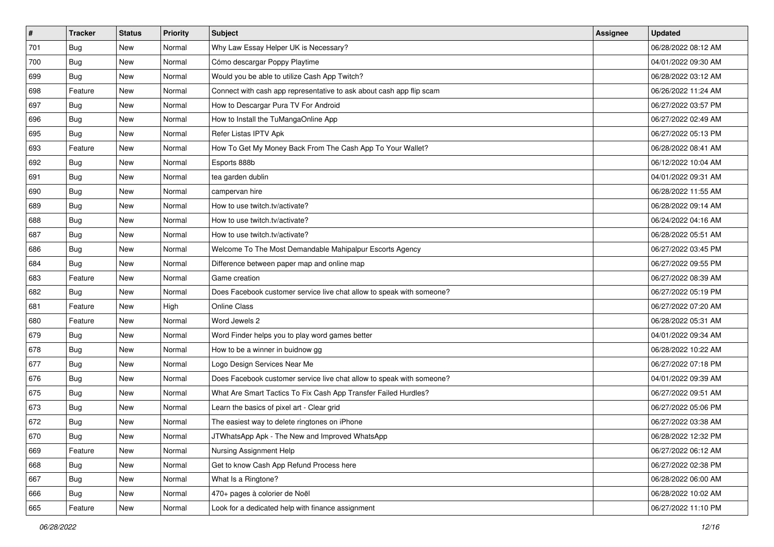| $\sharp$ | <b>Tracker</b> | <b>Status</b> | <b>Priority</b> | Subject                                                               | Assignee | <b>Updated</b>      |
|----------|----------------|---------------|-----------------|-----------------------------------------------------------------------|----------|---------------------|
| 701      | <b>Bug</b>     | New           | Normal          | Why Law Essay Helper UK is Necessary?                                 |          | 06/28/2022 08:12 AM |
| 700      | <b>Bug</b>     | New           | Normal          | Cómo descargar Poppy Playtime                                         |          | 04/01/2022 09:30 AM |
| 699      | Bug            | New           | Normal          | Would you be able to utilize Cash App Twitch?                         |          | 06/28/2022 03:12 AM |
| 698      | Feature        | New           | Normal          | Connect with cash app representative to ask about cash app flip scam  |          | 06/26/2022 11:24 AM |
| 697      | Bug            | New           | Normal          | How to Descargar Pura TV For Android                                  |          | 06/27/2022 03:57 PM |
| 696      | <b>Bug</b>     | New           | Normal          | How to Install the TuMangaOnline App                                  |          | 06/27/2022 02:49 AM |
| 695      | Bug            | New           | Normal          | Refer Listas IPTV Apk                                                 |          | 06/27/2022 05:13 PM |
| 693      | Feature        | New           | Normal          | How To Get My Money Back From The Cash App To Your Wallet?            |          | 06/28/2022 08:41 AM |
| 692      | Bug            | New           | Normal          | Esports 888b                                                          |          | 06/12/2022 10:04 AM |
| 691      | Bug            | New           | Normal          | tea garden dublin                                                     |          | 04/01/2022 09:31 AM |
| 690      | <b>Bug</b>     | New           | Normal          | campervan hire                                                        |          | 06/28/2022 11:55 AM |
| 689      | <b>Bug</b>     | New           | Normal          | How to use twitch.tv/activate?                                        |          | 06/28/2022 09:14 AM |
| 688      | Bug            | New           | Normal          | How to use twitch.tv/activate?                                        |          | 06/24/2022 04:16 AM |
| 687      | Bug            | New           | Normal          | How to use twitch.tv/activate?                                        |          | 06/28/2022 05:51 AM |
| 686      | Bug            | New           | Normal          | Welcome To The Most Demandable Mahipalpur Escorts Agency              |          | 06/27/2022 03:45 PM |
| 684      | Bug            | New           | Normal          | Difference between paper map and online map                           |          | 06/27/2022 09:55 PM |
| 683      | Feature        | New           | Normal          | Game creation                                                         |          | 06/27/2022 08:39 AM |
| 682      | <b>Bug</b>     | New           | Normal          | Does Facebook customer service live chat allow to speak with someone? |          | 06/27/2022 05:19 PM |
| 681      | Feature        | New           | High            | <b>Online Class</b>                                                   |          | 06/27/2022 07:20 AM |
| 680      | Feature        | New           | Normal          | Word Jewels 2                                                         |          | 06/28/2022 05:31 AM |
| 679      | Bug            | New           | Normal          | Word Finder helps you to play word games better                       |          | 04/01/2022 09:34 AM |
| 678      | Bug            | <b>New</b>    | Normal          | How to be a winner in buidnow gg                                      |          | 06/28/2022 10:22 AM |
| 677      | Bug            | New           | Normal          | Logo Design Services Near Me                                          |          | 06/27/2022 07:18 PM |
| 676      | <b>Bug</b>     | New           | Normal          | Does Facebook customer service live chat allow to speak with someone? |          | 04/01/2022 09:39 AM |
| 675      | Bug            | New           | Normal          | What Are Smart Tactics To Fix Cash App Transfer Failed Hurdles?       |          | 06/27/2022 09:51 AM |
| 673      | Bug            | New           | Normal          | Learn the basics of pixel art - Clear grid                            |          | 06/27/2022 05:06 PM |
| 672      | <b>Bug</b>     | New           | Normal          | The easiest way to delete ringtones on iPhone                         |          | 06/27/2022 03:38 AM |
| 670      | Bug            | New           | Normal          | JTWhatsApp Apk - The New and Improved WhatsApp                        |          | 06/28/2022 12:32 PM |
| 669      | Feature        | New           | Normal          | Nursing Assignment Help                                               |          | 06/27/2022 06:12 AM |
| 668      | <b>Bug</b>     | New           | Normal          | Get to know Cash App Refund Process here                              |          | 06/27/2022 02:38 PM |
| 667      | <b>Bug</b>     | New           | Normal          | What Is a Ringtone?                                                   |          | 06/28/2022 06:00 AM |
| 666      | <b>Bug</b>     | New           | Normal          | 470+ pages à colorier de Noël                                         |          | 06/28/2022 10:02 AM |
| 665      | Feature        | New           | Normal          | Look for a dedicated help with finance assignment                     |          | 06/27/2022 11:10 PM |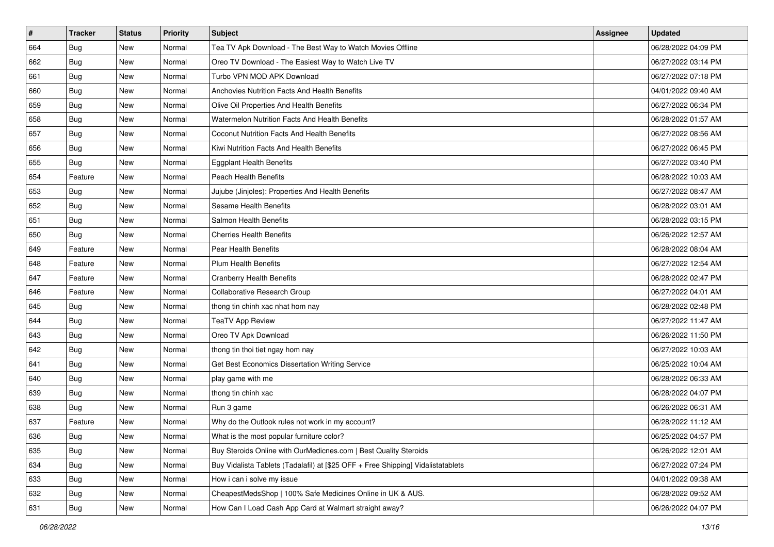| #   | <b>Tracker</b> | <b>Status</b> | <b>Priority</b> | Subject                                                                          | Assignee | <b>Updated</b>      |
|-----|----------------|---------------|-----------------|----------------------------------------------------------------------------------|----------|---------------------|
| 664 | <b>Bug</b>     | New           | Normal          | Tea TV Apk Download - The Best Way to Watch Movies Offline                       |          | 06/28/2022 04:09 PM |
| 662 | Bug            | New           | Normal          | Oreo TV Download - The Easiest Way to Watch Live TV                              |          | 06/27/2022 03:14 PM |
| 661 | <b>Bug</b>     | New           | Normal          | Turbo VPN MOD APK Download                                                       |          | 06/27/2022 07:18 PM |
| 660 | <b>Bug</b>     | New           | Normal          | Anchovies Nutrition Facts And Health Benefits                                    |          | 04/01/2022 09:40 AM |
| 659 | <b>Bug</b>     | New           | Normal          | Olive Oil Properties And Health Benefits                                         |          | 06/27/2022 06:34 PM |
| 658 | <b>Bug</b>     | New           | Normal          | Watermelon Nutrition Facts And Health Benefits                                   |          | 06/28/2022 01:57 AM |
| 657 | <b>Bug</b>     | New           | Normal          | Coconut Nutrition Facts And Health Benefits                                      |          | 06/27/2022 08:56 AM |
| 656 | Bug            | New           | Normal          | Kiwi Nutrition Facts And Health Benefits                                         |          | 06/27/2022 06:45 PM |
| 655 | Bug            | New           | Normal          | <b>Eggplant Health Benefits</b>                                                  |          | 06/27/2022 03:40 PM |
| 654 | Feature        | New           | Normal          | Peach Health Benefits                                                            |          | 06/28/2022 10:03 AM |
| 653 | Bug            | New           | Normal          | Jujube (Jinjoles): Properties And Health Benefits                                |          | 06/27/2022 08:47 AM |
| 652 | <b>Bug</b>     | New           | Normal          | <b>Sesame Health Benefits</b>                                                    |          | 06/28/2022 03:01 AM |
| 651 | Bug            | New           | Normal          | Salmon Health Benefits                                                           |          | 06/28/2022 03:15 PM |
| 650 | Bug            | New           | Normal          | Cherries Health Benefits                                                         |          | 06/26/2022 12:57 AM |
| 649 | Feature        | New           | Normal          | Pear Health Benefits                                                             |          | 06/28/2022 08:04 AM |
| 648 | Feature        | New           | Normal          | <b>Plum Health Benefits</b>                                                      |          | 06/27/2022 12:54 AM |
| 647 | Feature        | New           | Normal          | <b>Cranberry Health Benefits</b>                                                 |          | 06/28/2022 02:47 PM |
| 646 | Feature        | New           | Normal          | Collaborative Research Group                                                     |          | 06/27/2022 04:01 AM |
| 645 | <b>Bug</b>     | New           | Normal          | thong tin chinh xac nhat hom nay                                                 |          | 06/28/2022 02:48 PM |
| 644 | Bug            | New           | Normal          | <b>TeaTV App Review</b>                                                          |          | 06/27/2022 11:47 AM |
| 643 | <b>Bug</b>     | New           | Normal          | Oreo TV Apk Download                                                             |          | 06/26/2022 11:50 PM |
| 642 | <b>Bug</b>     | New           | Normal          | thong tin thoi tiet ngay hom nay                                                 |          | 06/27/2022 10:03 AM |
| 641 | <b>Bug</b>     | New           | Normal          | Get Best Economics Dissertation Writing Service                                  |          | 06/25/2022 10:04 AM |
| 640 | <b>Bug</b>     | New           | Normal          | play game with me                                                                |          | 06/28/2022 06:33 AM |
| 639 | <b>Bug</b>     | New           | Normal          | thong tin chinh xac                                                              |          | 06/28/2022 04:07 PM |
| 638 | Bug            | New           | Normal          | Run 3 game                                                                       |          | 06/26/2022 06:31 AM |
| 637 | Feature        | New           | Normal          | Why do the Outlook rules not work in my account?                                 |          | 06/28/2022 11:12 AM |
| 636 | Bug            | New           | Normal          | What is the most popular furniture color?                                        |          | 06/25/2022 04:57 PM |
| 635 | Bug            | New           | Normal          | Buy Steroids Online with OurMedicnes.com   Best Quality Steroids                 |          | 06/26/2022 12:01 AM |
| 634 | <b>Bug</b>     | New           | Normal          | Buy Vidalista Tablets (Tadalafil) at [\$25 OFF + Free Shipping] Vidalistatablets |          | 06/27/2022 07:24 PM |
| 633 | <b>Bug</b>     | New           | Normal          | How i can i solve my issue                                                       |          | 04/01/2022 09:38 AM |
| 632 | <b>Bug</b>     | New           | Normal          | CheapestMedsShop   100% Safe Medicines Online in UK & AUS.                       |          | 06/28/2022 09:52 AM |
| 631 | <b>Bug</b>     | New           | Normal          | How Can I Load Cash App Card at Walmart straight away?                           |          | 06/26/2022 04:07 PM |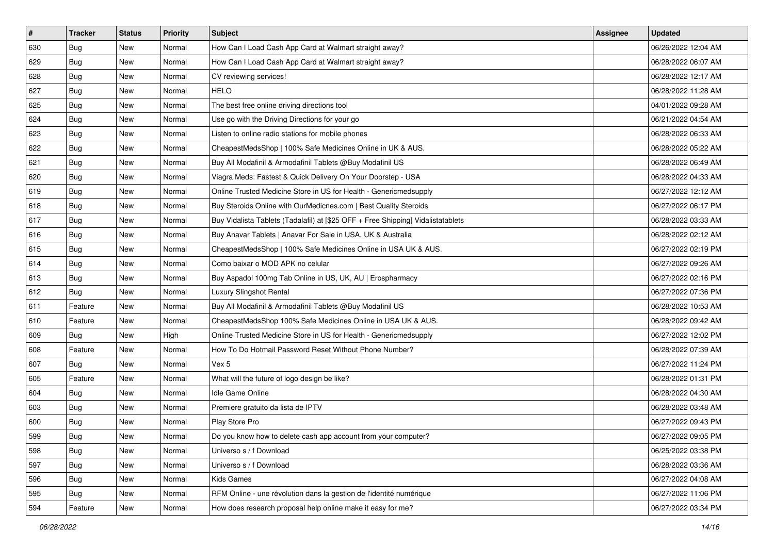| $\vert$ # | <b>Tracker</b> | <b>Status</b> | <b>Priority</b> | <b>Subject</b>                                                                   | Assignee | <b>Updated</b>      |
|-----------|----------------|---------------|-----------------|----------------------------------------------------------------------------------|----------|---------------------|
| 630       | <b>Bug</b>     | New           | Normal          | How Can I Load Cash App Card at Walmart straight away?                           |          | 06/26/2022 12:04 AM |
| 629       | Bug            | New           | Normal          | How Can I Load Cash App Card at Walmart straight away?                           |          | 06/28/2022 06:07 AM |
| 628       | <b>Bug</b>     | New           | Normal          | CV reviewing services!                                                           |          | 06/28/2022 12:17 AM |
| 627       | <b>Bug</b>     | New           | Normal          | <b>HELO</b>                                                                      |          | 06/28/2022 11:28 AM |
| 625       | <b>Bug</b>     | New           | Normal          | The best free online driving directions tool                                     |          | 04/01/2022 09:28 AM |
| 624       | Bug            | New           | Normal          | Use go with the Driving Directions for your go                                   |          | 06/21/2022 04:54 AM |
| 623       | <b>Bug</b>     | New           | Normal          | Listen to online radio stations for mobile phones                                |          | 06/28/2022 06:33 AM |
| 622       | <b>Bug</b>     | New           | Normal          | CheapestMedsShop   100% Safe Medicines Online in UK & AUS.                       |          | 06/28/2022 05:22 AM |
| 621       | Bug            | New           | Normal          | Buy All Modafinil & Armodafinil Tablets @Buy Modafinil US                        |          | 06/28/2022 06:49 AM |
| 620       | Bug            | New           | Normal          | Viagra Meds: Fastest & Quick Delivery On Your Doorstep - USA                     |          | 06/28/2022 04:33 AM |
| 619       | <b>Bug</b>     | New           | Normal          | Online Trusted Medicine Store in US for Health - Genericmedsupply                |          | 06/27/2022 12:12 AM |
| 618       | <b>Bug</b>     | New           | Normal          | Buy Steroids Online with OurMedicnes.com   Best Quality Steroids                 |          | 06/27/2022 06:17 PM |
| 617       | <b>Bug</b>     | New           | Normal          | Buy Vidalista Tablets (Tadalafil) at [\$25 OFF + Free Shipping] Vidalistatablets |          | 06/28/2022 03:33 AM |
| 616       | Bug            | New           | Normal          | Buy Anavar Tablets   Anavar For Sale in USA, UK & Australia                      |          | 06/28/2022 02:12 AM |
| 615       | <b>Bug</b>     | New           | Normal          | CheapestMedsShop   100% Safe Medicines Online in USA UK & AUS.                   |          | 06/27/2022 02:19 PM |
| 614       | <b>Bug</b>     | New           | Normal          | Como baixar o MOD APK no celular                                                 |          | 06/27/2022 09:26 AM |
| 613       | <b>Bug</b>     | New           | Normal          | Buy Aspadol 100mg Tab Online in US, UK, AU   Erospharmacy                        |          | 06/27/2022 02:16 PM |
| 612       | <b>Bug</b>     | New           | Normal          | Luxury Slingshot Rental                                                          |          | 06/27/2022 07:36 PM |
| 611       | Feature        | New           | Normal          | Buy All Modafinil & Armodafinil Tablets @Buy Modafinil US                        |          | 06/28/2022 10:53 AM |
| 610       | Feature        | New           | Normal          | CheapestMedsShop 100% Safe Medicines Online in USA UK & AUS.                     |          | 06/28/2022 09:42 AM |
| 609       | Bug            | New           | High            | Online Trusted Medicine Store in US for Health - Genericmedsupply                |          | 06/27/2022 12:02 PM |
| 608       | Feature        | New           | Normal          | How To Do Hotmail Password Reset Without Phone Number?                           |          | 06/28/2022 07:39 AM |
| 607       | Bug            | New           | Normal          | Vex 5                                                                            |          | 06/27/2022 11:24 PM |
| 605       | Feature        | New           | Normal          | What will the future of logo design be like?                                     |          | 06/28/2022 01:31 PM |
| 604       | Bug            | New           | Normal          | Idle Game Online                                                                 |          | 06/28/2022 04:30 AM |
| 603       | Bug            | New           | Normal          | Premiere gratuito da lista de IPTV                                               |          | 06/28/2022 03:48 AM |
| 600       | <b>Bug</b>     | New           | Normal          | Play Store Pro                                                                   |          | 06/27/2022 09:43 PM |
| 599       | I Bug          | New           | Normal          | Do you know how to delete cash app account from your computer?                   |          | 06/27/2022 09:05 PM |
| 598       | <b>Bug</b>     | New           | Normal          | Universo s / f Download                                                          |          | 06/25/2022 03:38 PM |
| 597       | <b>Bug</b>     | New           | Normal          | Universo s / f Download                                                          |          | 06/28/2022 03:36 AM |
| 596       | <b>Bug</b>     | New           | Normal          | Kids Games                                                                       |          | 06/27/2022 04:08 AM |
| 595       | <b>Bug</b>     | New           | Normal          | RFM Online - une révolution dans la gestion de l'identité numérique              |          | 06/27/2022 11:06 PM |
| 594       | Feature        | New           | Normal          | How does research proposal help online make it easy for me?                      |          | 06/27/2022 03:34 PM |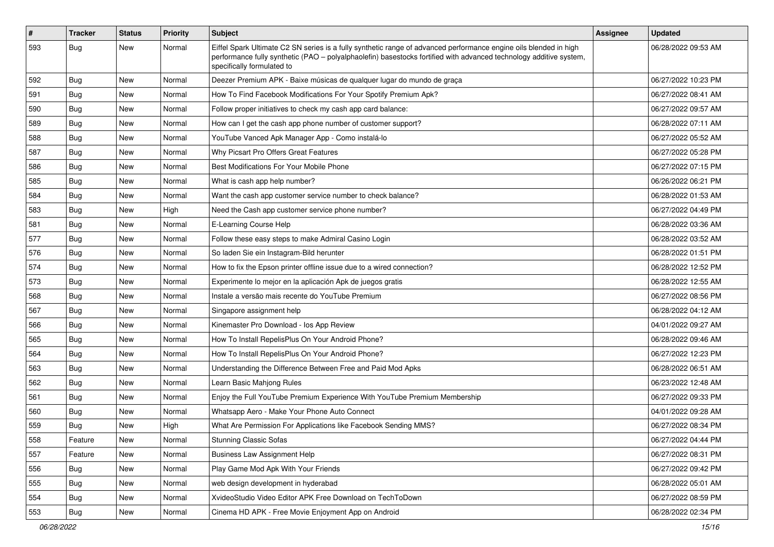| $\vert$ # | <b>Tracker</b> | <b>Status</b> | Priority | Subject                                                                                                                                                                                                                                                               | Assignee | <b>Updated</b>      |
|-----------|----------------|---------------|----------|-----------------------------------------------------------------------------------------------------------------------------------------------------------------------------------------------------------------------------------------------------------------------|----------|---------------------|
| 593       | <b>Bug</b>     | New           | Normal   | Eiffel Spark Ultimate C2 SN series is a fully synthetic range of advanced performance engine oils blended in high<br>performance fully synthetic (PAO - polyalphaolefin) basestocks fortified with advanced technology additive system,<br>specifically formulated to |          | 06/28/2022 09:53 AM |
| 592       | <b>Bug</b>     | New           | Normal   | Deezer Premium APK - Baixe músicas de qualquer lugar do mundo de graça                                                                                                                                                                                                |          | 06/27/2022 10:23 PM |
| 591       | <b>Bug</b>     | New           | Normal   | How To Find Facebook Modifications For Your Spotify Premium Apk?                                                                                                                                                                                                      |          | 06/27/2022 08:41 AM |
| 590       | <b>Bug</b>     | New           | Normal   | Follow proper initiatives to check my cash app card balance:                                                                                                                                                                                                          |          | 06/27/2022 09:57 AM |
| 589       | <b>Bug</b>     | New           | Normal   | How can I get the cash app phone number of customer support?                                                                                                                                                                                                          |          | 06/28/2022 07:11 AM |
| 588       | <b>Bug</b>     | New           | Normal   | YouTube Vanced Apk Manager App - Como instalá-lo                                                                                                                                                                                                                      |          | 06/27/2022 05:52 AM |
| 587       | Bug            | New           | Normal   | Why Picsart Pro Offers Great Features                                                                                                                                                                                                                                 |          | 06/27/2022 05:28 PM |
| 586       | <b>Bug</b>     | New           | Normal   | Best Modifications For Your Mobile Phone                                                                                                                                                                                                                              |          | 06/27/2022 07:15 PM |
| 585       | Bug            | New           | Normal   | What is cash app help number?                                                                                                                                                                                                                                         |          | 06/26/2022 06:21 PM |
| 584       | <b>Bug</b>     | New           | Normal   | Want the cash app customer service number to check balance?                                                                                                                                                                                                           |          | 06/28/2022 01:53 AM |
| 583       | <b>Bug</b>     | New           | High     | Need the Cash app customer service phone number?                                                                                                                                                                                                                      |          | 06/27/2022 04:49 PM |
| 581       | <b>Bug</b>     | New           | Normal   | E-Learning Course Help                                                                                                                                                                                                                                                |          | 06/28/2022 03:36 AM |
| 577       | Bug            | New           | Normal   | Follow these easy steps to make Admiral Casino Login                                                                                                                                                                                                                  |          | 06/28/2022 03:52 AM |
| 576       | Bug            | New           | Normal   | So laden Sie ein Instagram-Bild herunter                                                                                                                                                                                                                              |          | 06/28/2022 01:51 PM |
| 574       | <b>Bug</b>     | New           | Normal   | How to fix the Epson printer offline issue due to a wired connection?                                                                                                                                                                                                 |          | 06/28/2022 12:52 PM |
| 573       | <b>Bug</b>     | New           | Normal   | Experimente lo mejor en la aplicación Apk de juegos gratis                                                                                                                                                                                                            |          | 06/28/2022 12:55 AM |
| 568       | <b>Bug</b>     | New           | Normal   | Instale a versão mais recente do YouTube Premium                                                                                                                                                                                                                      |          | 06/27/2022 08:56 PM |
| 567       | Bug            | New           | Normal   | Singapore assignment help                                                                                                                                                                                                                                             |          | 06/28/2022 04:12 AM |
| 566       | Bug            | New           | Normal   | Kinemaster Pro Download - los App Review                                                                                                                                                                                                                              |          | 04/01/2022 09:27 AM |
| 565       | <b>Bug</b>     | New           | Normal   | How To Install RepelisPlus On Your Android Phone?                                                                                                                                                                                                                     |          | 06/28/2022 09:46 AM |
| 564       | <b>Bug</b>     | New           | Normal   | How To Install RepelisPlus On Your Android Phone?                                                                                                                                                                                                                     |          | 06/27/2022 12:23 PM |
| 563       | <b>Bug</b>     | New           | Normal   | Understanding the Difference Between Free and Paid Mod Apks                                                                                                                                                                                                           |          | 06/28/2022 06:51 AM |
| 562       | <b>Bug</b>     | New           | Normal   | Learn Basic Mahjong Rules                                                                                                                                                                                                                                             |          | 06/23/2022 12:48 AM |
| 561       | Bug            | New           | Normal   | Enjoy the Full YouTube Premium Experience With YouTube Premium Membership                                                                                                                                                                                             |          | 06/27/2022 09:33 PM |
| 560       | <b>Bug</b>     | New           | Normal   | Whatsapp Aero - Make Your Phone Auto Connect                                                                                                                                                                                                                          |          | 04/01/2022 09:28 AM |
| 559       | <b>Bug</b>     | New           | High     | What Are Permission For Applications like Facebook Sending MMS?                                                                                                                                                                                                       |          | 06/27/2022 08:34 PM |
| 558       | Feature        | New           | Normal   | <b>Stunning Classic Sofas</b>                                                                                                                                                                                                                                         |          | 06/27/2022 04:44 PM |
| 557       | Feature        | New           | Normal   | <b>Business Law Assignment Help</b>                                                                                                                                                                                                                                   |          | 06/27/2022 08:31 PM |
| 556       | <b>Bug</b>     | New           | Normal   | Play Game Mod Apk With Your Friends                                                                                                                                                                                                                                   |          | 06/27/2022 09:42 PM |
| 555       | <b>Bug</b>     | New           | Normal   | web design development in hyderabad                                                                                                                                                                                                                                   |          | 06/28/2022 05:01 AM |
| 554       | Bug            | New           | Normal   | XvideoStudio Video Editor APK Free Download on TechToDown                                                                                                                                                                                                             |          | 06/27/2022 08:59 PM |
| 553       | <b>Bug</b>     | New           | Normal   | Cinema HD APK - Free Movie Enjoyment App on Android                                                                                                                                                                                                                   |          | 06/28/2022 02:34 PM |